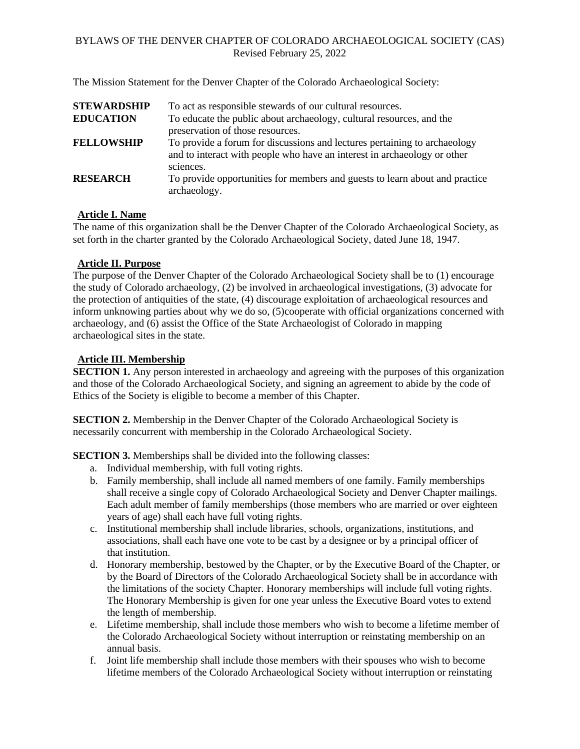The Mission Statement for the Denver Chapter of the Colorado Archaeological Society:

| <b>STEWARDSHIP</b> | To act as responsible stewards of our cultural resources.                                                                                                          |
|--------------------|--------------------------------------------------------------------------------------------------------------------------------------------------------------------|
| <b>EDUCATION</b>   | To educate the public about archaeology, cultural resources, and the<br>preservation of those resources.                                                           |
| <b>FELLOWSHIP</b>  | To provide a forum for discussions and lectures pertaining to archaeology<br>and to interact with people who have an interest in archaeology or other<br>sciences. |
| <b>RESEARCH</b>    | To provide opportunities for members and guests to learn about and practice<br>archaeology.                                                                        |

#### **Article I. Name**

The name of this organization shall be the Denver Chapter of the Colorado Archaeological Society, as set forth in the charter granted by the Colorado Archaeological Society, dated June 18, 1947.

#### **Article II. Purpose**

The purpose of the Denver Chapter of the Colorado Archaeological Society shall be to (1) encourage the study of Colorado archaeology, (2) be involved in archaeological investigations, (3) advocate for the protection of antiquities of the state, (4) discourage exploitation of archaeological resources and inform unknowing parties about why we do so, (5)cooperate with official organizations concerned with archaeology, and (6) assist the Office of the State Archaeologist of Colorado in mapping archaeological sites in the state.

### **Article III. Membership**

**SECTION 1.** Any person interested in archaeology and agreeing with the purposes of this organization and those of the Colorado Archaeological Society, and signing an agreement to abide by the code of Ethics of the Society is eligible to become a member of this Chapter.

**SECTION 2.** Membership in the Denver Chapter of the Colorado Archaeological Society is necessarily concurrent with membership in the Colorado Archaeological Society.

**SECTION 3.** Memberships shall be divided into the following classes:

- a. Individual membership, with full voting rights.
- b. Family membership, shall include all named members of one family. Family memberships shall receive a single copy of Colorado Archaeological Society and Denver Chapter mailings. Each adult member of family memberships (those members who are married or over eighteen years of age) shall each have full voting rights.
- c. Institutional membership shall include libraries, schools, organizations, institutions, and associations, shall each have one vote to be cast by a designee or by a principal officer of that institution.
- d. Honorary membership, bestowed by the Chapter, or by the Executive Board of the Chapter, or by the Board of Directors of the Colorado Archaeological Society shall be in accordance with the limitations of the society Chapter. Honorary memberships will include full voting rights. The Honorary Membership is given for one year unless the Executive Board votes to extend the length of membership.
- e. Lifetime membership, shall include those members who wish to become a lifetime member of the Colorado Archaeological Society without interruption or reinstating membership on an annual basis.
- f. Joint life membership shall include those members with their spouses who wish to become lifetime members of the Colorado Archaeological Society without interruption or reinstating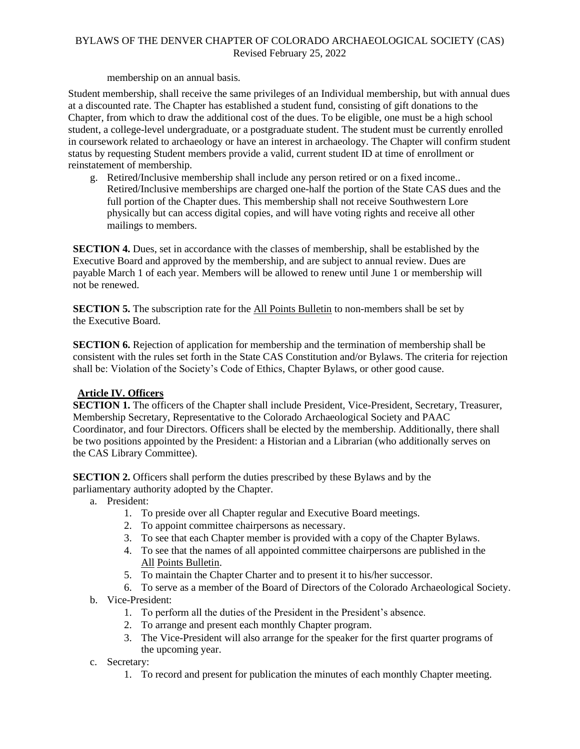membership on an annual basis.

Student membership, shall receive the same privileges of an Individual membership, but with annual dues at a discounted rate. The Chapter has established a student fund, consisting of gift donations to the Chapter, from which to draw the additional cost of the dues. To be eligible, one must be a high school student, a college-level undergraduate, or a postgraduate student. The student must be currently enrolled in coursework related to archaeology or have an interest in archaeology. The Chapter will confirm student status by requesting Student members provide a valid, current student ID at time of enrollment or reinstatement of membership.

g. Retired/Inclusive membership shall include any person retired or on a fixed income.. Retired/Inclusive memberships are charged one-half the portion of the State CAS dues and the full portion of the Chapter dues. This membership shall not receive Southwestern Lore physically but can access digital copies, and will have voting rights and receive all other mailings to members.

**SECTION 4.** Dues, set in accordance with the classes of membership, shall be established by the Executive Board and approved by the membership, and are subject to annual review. Dues are payable March 1 of each year. Members will be allowed to renew until June 1 or membership will not be renewed.

**SECTION 5.** The subscription rate for the All Points Bulletin to non-members shall be set by the Executive Board.

**SECTION 6.** Rejection of application for membership and the termination of membership shall be consistent with the rules set forth in the State CAS Constitution and/or Bylaws. The criteria for rejection shall be: Violation of the Society's Code of Ethics, Chapter Bylaws, or other good cause.

# **Article IV. Officers**

**SECTION 1.** The officers of the Chapter shall include President, Vice-President, Secretary, Treasurer, Membership Secretary, Representative to the Colorado Archaeological Society and PAAC Coordinator, and four Directors. Officers shall be elected by the membership. Additionally, there shall be two positions appointed by the President: a Historian and a Librarian (who additionally serves on the CAS Library Committee).

**SECTION 2.** Officers shall perform the duties prescribed by these Bylaws and by the parliamentary authority adopted by the Chapter.

- a. President:
	- 1. To preside over all Chapter regular and Executive Board meetings.
	- 2. To appoint committee chairpersons as necessary.
	- 3. To see that each Chapter member is provided with a copy of the Chapter Bylaws.
	- 4. To see that the names of all appointed committee chairpersons are published in the All Points Bulletin.
	- 5. To maintain the Chapter Charter and to present it to his/her successor.
	- 6. To serve as a member of the Board of Directors of the Colorado Archaeological Society.
- b. Vice-President:
	- 1. To perform all the duties of the President in the President's absence.
	- 2. To arrange and present each monthly Chapter program.
	- 3. The Vice-President will also arrange for the speaker for the first quarter programs of the upcoming year.
- c. Secretary:
	- 1. To record and present for publication the minutes of each monthly Chapter meeting.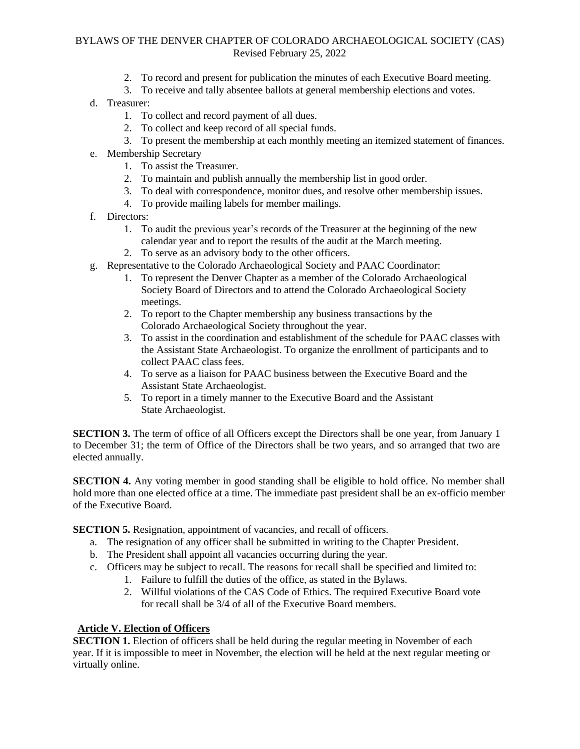- 2. To record and present for publication the minutes of each Executive Board meeting.
- 3. To receive and tally absentee ballots at general membership elections and votes.
- d. Treasurer:
	- 1. To collect and record payment of all dues.
	- 2. To collect and keep record of all special funds.
	- 3. To present the membership at each monthly meeting an itemized statement of finances.
- e. Membership Secretary
	- 1. To assist the Treasurer.
	- 2. To maintain and publish annually the membership list in good order.
	- 3. To deal with correspondence, monitor dues, and resolve other membership issues.
	- 4. To provide mailing labels for member mailings.
- f. Directors:
	- 1. To audit the previous year's records of the Treasurer at the beginning of the new calendar year and to report the results of the audit at the March meeting.
	- 2. To serve as an advisory body to the other officers.
- g. Representative to the Colorado Archaeological Society and PAAC Coordinator:
	- 1. To represent the Denver Chapter as a member of the Colorado Archaeological Society Board of Directors and to attend the Colorado Archaeological Society meetings.
	- 2. To report to the Chapter membership any business transactions by the Colorado Archaeological Society throughout the year.
	- 3. To assist in the coordination and establishment of the schedule for PAAC classes with the Assistant State Archaeologist. To organize the enrollment of participants and to collect PAAC class fees.
	- 4. To serve as a liaison for PAAC business between the Executive Board and the Assistant State Archaeologist.
	- 5. To report in a timely manner to the Executive Board and the Assistant State Archaeologist.

**SECTION 3.** The term of office of all Officers except the Directors shall be one year, from January 1 to December 31; the term of Office of the Directors shall be two years, and so arranged that two are elected annually.

**SECTION 4.** Any voting member in good standing shall be eligible to hold office. No member shall hold more than one elected office at a time. The immediate past president shall be an ex-officio member of the Executive Board.

**SECTION 5.** Resignation, appointment of vacancies, and recall of officers.

- a. The resignation of any officer shall be submitted in writing to the Chapter President.
- b. The President shall appoint all vacancies occurring during the year.
- c. Officers may be subject to recall. The reasons for recall shall be specified and limited to:
	- 1. Failure to fulfill the duties of the office, as stated in the Bylaws.
	- 2. Willful violations of the CAS Code of Ethics. The required Executive Board vote for recall shall be 3/4 of all of the Executive Board members.

### **Article V. Election of Officers**

**SECTION 1.** Election of officers shall be held during the regular meeting in November of each year. If it is impossible to meet in November, the election will be held at the next regular meeting or virtually online.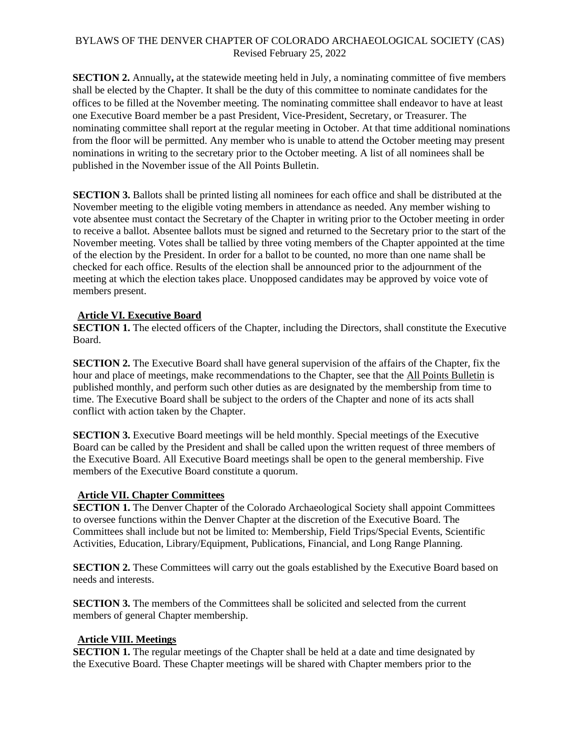**SECTION 2.** Annually**,** at the statewide meeting held in July, a nominating committee of five members shall be elected by the Chapter. It shall be the duty of this committee to nominate candidates for the offices to be filled at the November meeting. The nominating committee shall endeavor to have at least one Executive Board member be a past President, Vice-President, Secretary, or Treasurer. The nominating committee shall report at the regular meeting in October. At that time additional nominations from the floor will be permitted. Any member who is unable to attend the October meeting may present nominations in writing to the secretary prior to the October meeting. A list of all nominees shall be published in the November issue of the All Points Bulletin.

**SECTION 3.** Ballots shall be printed listing all nominees for each office and shall be distributed at the November meeting to the eligible voting members in attendance as needed. Any member wishing to vote absentee must contact the Secretary of the Chapter in writing prior to the October meeting in order to receive a ballot. Absentee ballots must be signed and returned to the Secretary prior to the start of the November meeting. Votes shall be tallied by three voting members of the Chapter appointed at the time of the election by the President. In order for a ballot to be counted, no more than one name shall be checked for each office. Results of the election shall be announced prior to the adjournment of the meeting at which the election takes place. Unopposed candidates may be approved by voice vote of members present.

#### **Article VI. Executive Board**

**SECTION 1.** The elected officers of the Chapter, including the Directors, shall constitute the Executive Board.

**SECTION 2.** The Executive Board shall have general supervision of the affairs of the Chapter, fix the hour and place of meetings, make recommendations to the Chapter, see that the All Points Bulletin is published monthly, and perform such other duties as are designated by the membership from time to time. The Executive Board shall be subject to the orders of the Chapter and none of its acts shall conflict with action taken by the Chapter.

**SECTION 3.** Executive Board meetings will be held monthly. Special meetings of the Executive Board can be called by the President and shall be called upon the written request of three members of the Executive Board. All Executive Board meetings shall be open to the general membership. Five members of the Executive Board constitute a quorum.

#### **Article VII. Chapter Committees**

**SECTION 1.** The Denver Chapter of the Colorado Archaeological Society shall appoint Committees to oversee functions within the Denver Chapter at the discretion of the Executive Board. The Committees shall include but not be limited to: Membership, Field Trips/Special Events, Scientific Activities, Education, Library/Equipment, Publications, Financial, and Long Range Planning.

**SECTION 2.** These Committees will carry out the goals established by the Executive Board based on needs and interests.

**SECTION 3.** The members of the Committees shall be solicited and selected from the current members of general Chapter membership.

### **Article VIII. Meetings**

**SECTION 1.** The regular meetings of the Chapter shall be held at a date and time designated by the Executive Board. These Chapter meetings will be shared with Chapter members prior to the